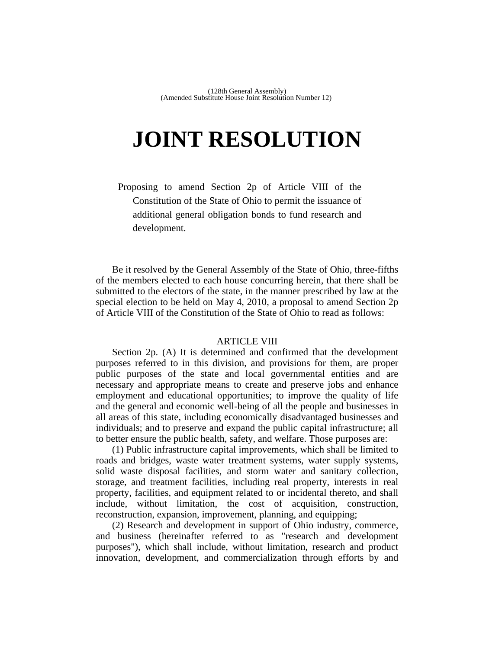## **JOINT RESOLUTION**

Proposing to amend Section 2p of Article VIII of the Constitution of the State of Ohio to permit the issuance of additional general obligation bonds to fund research and development.

Be it resolved by the General Assembly of the State of Ohio, three-fifths of the members elected to each house concurring herein, that there shall be submitted to the electors of the state, in the manner prescribed by law at the special election to be held on May 4, 2010, a proposal to amend Section 2p of Article VIII of the Constitution of the State of Ohio to read as follows:

## ARTICLE VIII

Section 2p. (A) It is determined and confirmed that the development purposes referred to in this division, and provisions for them, are proper public purposes of the state and local governmental entities and are necessary and appropriate means to create and preserve jobs and enhance employment and educational opportunities; to improve the quality of life and the general and economic well-being of all the people and businesses in all areas of this state, including economically disadvantaged businesses and individuals; and to preserve and expand the public capital infrastructure; all to better ensure the public health, safety, and welfare. Those purposes are:

(1) Public infrastructure capital improvements, which shall be limited to roads and bridges, waste water treatment systems, water supply systems, solid waste disposal facilities, and storm water and sanitary collection, storage, and treatment facilities, including real property, interests in real property, facilities, and equipment related to or incidental thereto, and shall include, without limitation, the cost of acquisition, construction, reconstruction, expansion, improvement, planning, and equipping;

(2) Research and development in support of Ohio industry, commerce, and business (hereinafter referred to as "research and development purposes"), which shall include, without limitation, research and product innovation, development, and commercialization through efforts by and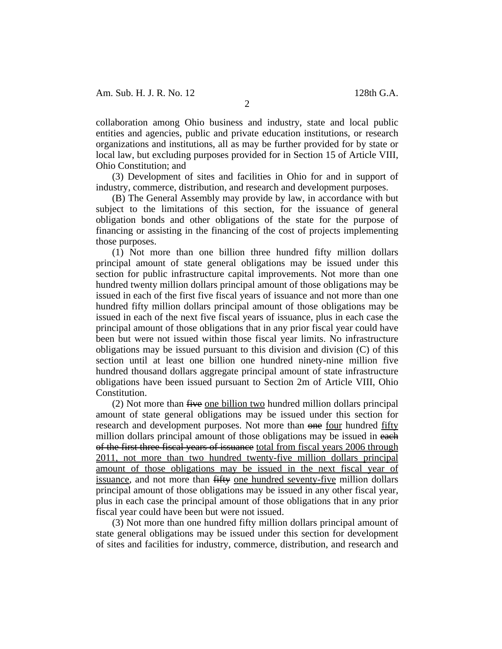collaboration among Ohio business and industry, state and local public entities and agencies, public and private education institutions, or research organizations and institutions, all as may be further provided for by state or local law, but excluding purposes provided for in Section 15 of Article VIII, Ohio Constitution; and

(3) Development of sites and facilities in Ohio for and in support of industry, commerce, distribution, and research and development purposes.

(B) The General Assembly may provide by law, in accordance with but subject to the limitations of this section, for the issuance of general obligation bonds and other obligations of the state for the purpose of financing or assisting in the financing of the cost of projects implementing those purposes.

(1) Not more than one billion three hundred fifty million dollars principal amount of state general obligations may be issued under this section for public infrastructure capital improvements. Not more than one hundred twenty million dollars principal amount of those obligations may be issued in each of the first five fiscal years of issuance and not more than one hundred fifty million dollars principal amount of those obligations may be issued in each of the next five fiscal years of issuance, plus in each case the principal amount of those obligations that in any prior fiscal year could have been but were not issued within those fiscal year limits. No infrastructure obligations may be issued pursuant to this division and division (C) of this section until at least one billion one hundred ninety-nine million five hundred thousand dollars aggregate principal amount of state infrastructure obligations have been issued pursuant to Section 2m of Article VIII, Ohio Constitution.

(2) Not more than five one billion two hundred million dollars principal amount of state general obligations may be issued under this section for research and development purposes. Not more than one four hundred fifty million dollars principal amount of those obligations may be issued in each of the first three fiscal years of issuance total from fiscal years 2006 through 2011, not more than two hundred twenty-five million dollars principal amount of those obligations may be issued in the next fiscal year of issuance, and not more than  $f$ <sup>ifty</sup> one hundred seventy-five million dollars principal amount of those obligations may be issued in any other fiscal year, plus in each case the principal amount of those obligations that in any prior fiscal year could have been but were not issued.

(3) Not more than one hundred fifty million dollars principal amount of state general obligations may be issued under this section for development of sites and facilities for industry, commerce, distribution, and research and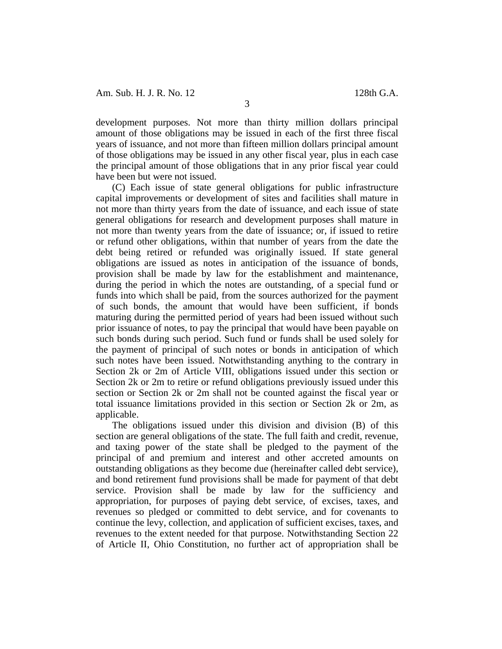development purposes. Not more than thirty million dollars principal amount of those obligations may be issued in each of the first three fiscal years of issuance, and not more than fifteen million dollars principal amount of those obligations may be issued in any other fiscal year, plus in each case the principal amount of those obligations that in any prior fiscal year could have been but were not issued.

(C) Each issue of state general obligations for public infrastructure capital improvements or development of sites and facilities shall mature in not more than thirty years from the date of issuance, and each issue of state general obligations for research and development purposes shall mature in not more than twenty years from the date of issuance; or, if issued to retire or refund other obligations, within that number of years from the date the debt being retired or refunded was originally issued. If state general obligations are issued as notes in anticipation of the issuance of bonds, provision shall be made by law for the establishment and maintenance, during the period in which the notes are outstanding, of a special fund or funds into which shall be paid, from the sources authorized for the payment of such bonds, the amount that would have been sufficient, if bonds maturing during the permitted period of years had been issued without such prior issuance of notes, to pay the principal that would have been payable on such bonds during such period. Such fund or funds shall be used solely for the payment of principal of such notes or bonds in anticipation of which such notes have been issued. Notwithstanding anything to the contrary in Section 2k or 2m of Article VIII, obligations issued under this section or Section 2k or 2m to retire or refund obligations previously issued under this section or Section 2k or 2m shall not be counted against the fiscal year or total issuance limitations provided in this section or Section 2k or 2m, as applicable.

The obligations issued under this division and division (B) of this section are general obligations of the state. The full faith and credit, revenue, and taxing power of the state shall be pledged to the payment of the principal of and premium and interest and other accreted amounts on outstanding obligations as they become due (hereinafter called debt service), and bond retirement fund provisions shall be made for payment of that debt service. Provision shall be made by law for the sufficiency and appropriation, for purposes of paying debt service, of excises, taxes, and revenues so pledged or committed to debt service, and for covenants to continue the levy, collection, and application of sufficient excises, taxes, and revenues to the extent needed for that purpose. Notwithstanding Section 22 of Article II, Ohio Constitution, no further act of appropriation shall be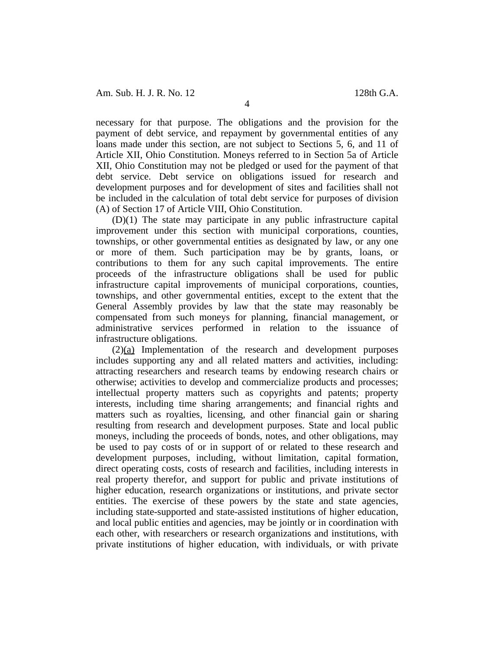necessary for that purpose. The obligations and the provision for the payment of debt service, and repayment by governmental entities of any loans made under this section, are not subject to Sections 5, 6, and 11 of Article XII, Ohio Constitution. Moneys referred to in Section 5a of Article XII, Ohio Constitution may not be pledged or used for the payment of that debt service. Debt service on obligations issued for research and development purposes and for development of sites and facilities shall not be included in the calculation of total debt service for purposes of division (A) of Section 17 of Article VIII, Ohio Constitution.

(D)(1) The state may participate in any public infrastructure capital improvement under this section with municipal corporations, counties, townships, or other governmental entities as designated by law, or any one or more of them. Such participation may be by grants, loans, or contributions to them for any such capital improvements. The entire proceeds of the infrastructure obligations shall be used for public infrastructure capital improvements of municipal corporations, counties, townships, and other governmental entities, except to the extent that the General Assembly provides by law that the state may reasonably be compensated from such moneys for planning, financial management, or administrative services performed in relation to the issuance of infrastructure obligations.

 $(2)(a)$  Implementation of the research and development purposes includes supporting any and all related matters and activities, including: attracting researchers and research teams by endowing research chairs or otherwise; activities to develop and commercialize products and processes; intellectual property matters such as copyrights and patents; property interests, including time sharing arrangements; and financial rights and matters such as royalties, licensing, and other financial gain or sharing resulting from research and development purposes. State and local public moneys, including the proceeds of bonds, notes, and other obligations, may be used to pay costs of or in support of or related to these research and development purposes, including, without limitation, capital formation, direct operating costs, costs of research and facilities, including interests in real property therefor, and support for public and private institutions of higher education, research organizations or institutions, and private sector entities. The exercise of these powers by the state and state agencies, including state-supported and state-assisted institutions of higher education, and local public entities and agencies, may be jointly or in coordination with each other, with researchers or research organizations and institutions, with private institutions of higher education, with individuals, or with private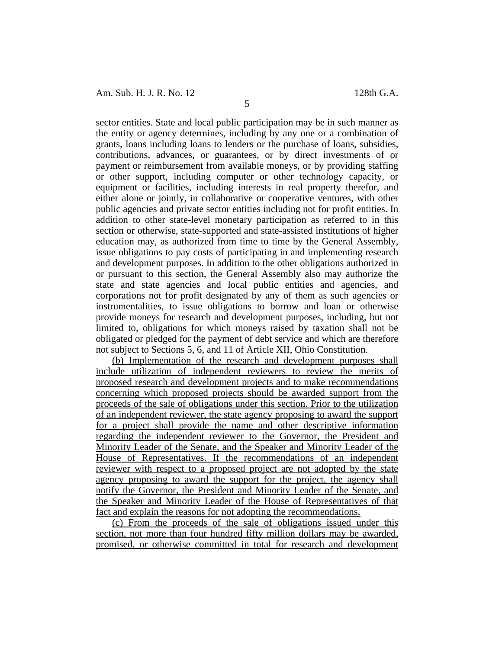sector entities. State and local public participation may be in such manner as the entity or agency determines, including by any one or a combination of grants, loans including loans to lenders or the purchase of loans, subsidies, contributions, advances, or guarantees, or by direct investments of or payment or reimbursement from available moneys, or by providing staffing or other support, including computer or other technology capacity, or equipment or facilities, including interests in real property therefor, and either alone or jointly, in collaborative or cooperative ventures, with other public agencies and private sector entities including not for profit entities. In addition to other state-level monetary participation as referred to in this section or otherwise, state-supported and state-assisted institutions of higher education may, as authorized from time to time by the General Assembly, issue obligations to pay costs of participating in and implementing research and development purposes. In addition to the other obligations authorized in or pursuant to this section, the General Assembly also may authorize the state and state agencies and local public entities and agencies, and corporations not for profit designated by any of them as such agencies or instrumentalities, to issue obligations to borrow and loan or otherwise provide moneys for research and development purposes, including, but not limited to, obligations for which moneys raised by taxation shall not be obligated or pledged for the payment of debt service and which are therefore not subject to Sections 5, 6, and 11 of Article XII, Ohio Constitution.

(b) Implementation of the research and development purposes shall include utilization of independent reviewers to review the merits of proposed research and development projects and to make recommendations concerning which proposed projects should be awarded support from the proceeds of the sale of obligations under this section. Prior to the utilization of an independent reviewer, the state agency proposing to award the support for a project shall provide the name and other descriptive information regarding the independent reviewer to the Governor, the President and Minority Leader of the Senate, and the Speaker and Minority Leader of the House of Representatives. If the recommendations of an independent reviewer with respect to a proposed project are not adopted by the state agency proposing to award the support for the project, the agency shall notify the Governor, the President and Minority Leader of the Senate, and the Speaker and Minority Leader of the House of Representatives of that fact and explain the reasons for not adopting the recommendations.

(c) From the proceeds of the sale of obligations issued under this section, not more than four hundred fifty million dollars may be awarded, promised, or otherwise committed in total for research and development

5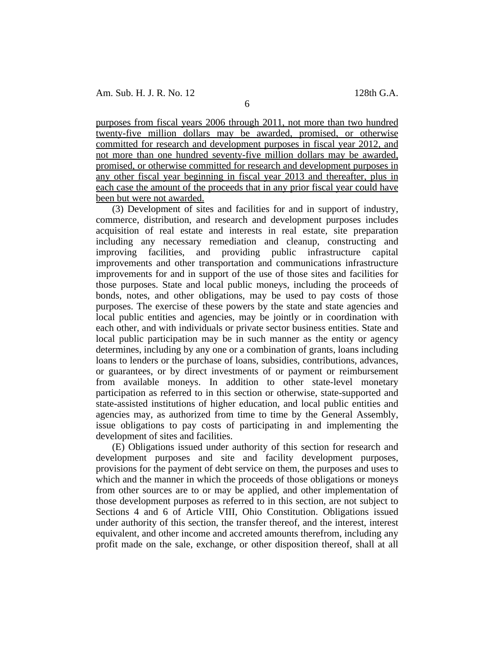purposes from fiscal years 2006 through 2011, not more than two hundred twenty-five million dollars may be awarded, promised, or otherwise committed for research and development purposes in fiscal year 2012, and not more than one hundred seventy-five million dollars may be awarded, promised, or otherwise committed for research and development purposes in any other fiscal year beginning in fiscal year 2013 and thereafter, plus in each case the amount of the proceeds that in any prior fiscal year could have been but were not awarded.

(3) Development of sites and facilities for and in support of industry, commerce, distribution, and research and development purposes includes acquisition of real estate and interests in real estate, site preparation including any necessary remediation and cleanup, constructing and improving facilities, and providing public infrastructure capital improvements and other transportation and communications infrastructure improvements for and in support of the use of those sites and facilities for those purposes. State and local public moneys, including the proceeds of bonds, notes, and other obligations, may be used to pay costs of those purposes. The exercise of these powers by the state and state agencies and local public entities and agencies, may be jointly or in coordination with each other, and with individuals or private sector business entities. State and local public participation may be in such manner as the entity or agency determines, including by any one or a combination of grants, loans including loans to lenders or the purchase of loans, subsidies, contributions, advances, or guarantees, or by direct investments of or payment or reimbursement from available moneys. In addition to other state-level monetary participation as referred to in this section or otherwise, state-supported and state-assisted institutions of higher education, and local public entities and agencies may, as authorized from time to time by the General Assembly, issue obligations to pay costs of participating in and implementing the development of sites and facilities.

(E) Obligations issued under authority of this section for research and development purposes and site and facility development purposes, provisions for the payment of debt service on them, the purposes and uses to which and the manner in which the proceeds of those obligations or moneys from other sources are to or may be applied, and other implementation of those development purposes as referred to in this section, are not subject to Sections 4 and 6 of Article VIII, Ohio Constitution. Obligations issued under authority of this section, the transfer thereof, and the interest, interest equivalent, and other income and accreted amounts therefrom, including any profit made on the sale, exchange, or other disposition thereof, shall at all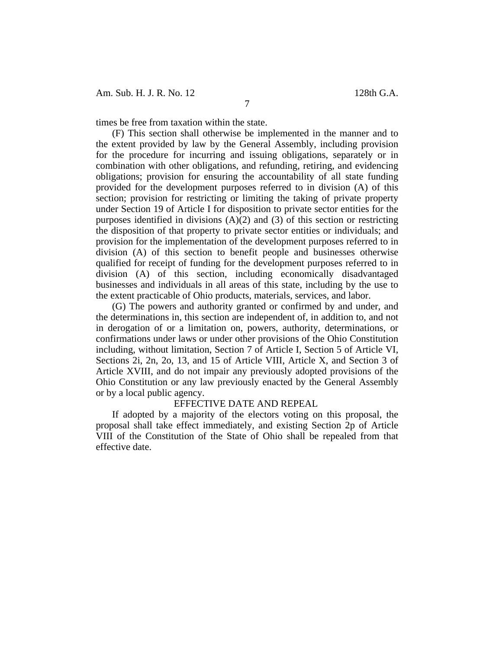Am. Sub. H. J. R. No. 12 128th G.A.

times be free from taxation within the state.

(F) This section shall otherwise be implemented in the manner and to the extent provided by law by the General Assembly, including provision for the procedure for incurring and issuing obligations, separately or in combination with other obligations, and refunding, retiring, and evidencing obligations; provision for ensuring the accountability of all state funding provided for the development purposes referred to in division (A) of this section; provision for restricting or limiting the taking of private property under Section 19 of Article I for disposition to private sector entities for the purposes identified in divisions  $(A)(2)$  and  $(B)$  of this section or restricting the disposition of that property to private sector entities or individuals; and provision for the implementation of the development purposes referred to in division (A) of this section to benefit people and businesses otherwise qualified for receipt of funding for the development purposes referred to in division (A) of this section, including economically disadvantaged businesses and individuals in all areas of this state, including by the use to the extent practicable of Ohio products, materials, services, and labor.

(G) The powers and authority granted or confirmed by and under, and the determinations in, this section are independent of, in addition to, and not in derogation of or a limitation on, powers, authority, determinations, or confirmations under laws or under other provisions of the Ohio Constitution including, without limitation, Section 7 of Article I, Section 5 of Article VI, Sections 2i, 2n, 2o, 13, and 15 of Article VIII, Article X, and Section 3 of Article XVIII, and do not impair any previously adopted provisions of the Ohio Constitution or any law previously enacted by the General Assembly or by a local public agency.

## EFFECTIVE DATE AND REPEAL

If adopted by a majority of the electors voting on this proposal, the proposal shall take effect immediately, and existing Section 2p of Article VIII of the Constitution of the State of Ohio shall be repealed from that effective date.